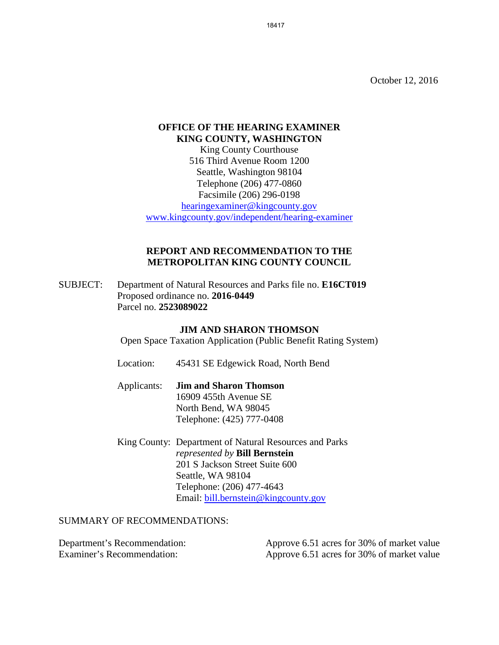October 12, 2016

## **OFFICE OF THE HEARING EXAMINER KING COUNTY, WASHINGTON**

King County Courthouse 516 Third Avenue Room 1200 Seattle, Washington 98104 Telephone (206) 477-0860 Facsimile (206) 296-0198 [hearingexaminer@kingcounty.gov](mailto:hearingexaminer@kingcounty.gov) [www.kingcounty.gov/independent/hearing-examiner](http://www.kingcounty.gov/independent/hearing-examiner)

## **REPORT AND RECOMMENDATION TO THE METROPOLITAN KING COUNTY COUNCIL**

SUBJECT: Department of Natural Resources and Parks file no. **E16CT019**  Proposed ordinance no. **2016-0449**  Parcel no. **2523089022**

#### **JIM AND SHARON THOMSON**

Open Space Taxation Application (Public Benefit Rating System)

- Location: 45431 SE Edgewick Road, North Bend
- Applicants: **Jim and Sharon Thomson** 16909 455th Avenue SE North Bend, WA 98045 Telephone: (425) 777-0408
- King County: Department of Natural Resources and Parks *represented by* **Bill Bernstein** 201 S Jackson Street Suite 600 Seattle, WA 98104 Telephone: (206) 477-4643 Email: [bill.bernstein@kingcounty.gov](mailto:bill.bernstein@kingcounty.gov)

#### SUMMARY OF RECOMMENDATIONS:

| Department's Recommendation: | Approve 6.51 acres for 30% of market value |
|------------------------------|--------------------------------------------|
| Examiner's Recommendation:   | Approve 6.51 acres for 30% of market value |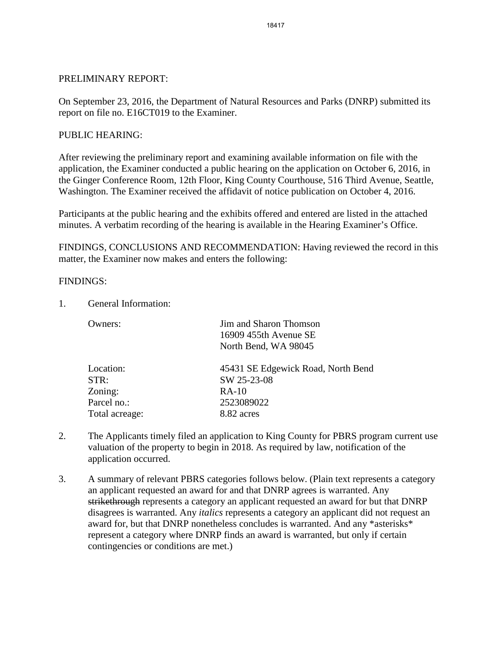#### PRELIMINARY REPORT:

On September 23, 2016, the Department of Natural Resources and Parks (DNRP) submitted its report on file no. E16CT019 to the Examiner.

#### PUBLIC HEARING:

After reviewing the preliminary report and examining available information on file with the application, the Examiner conducted a public hearing on the application on October 6, 2016, in the Ginger Conference Room, 12th Floor, King County Courthouse, 516 Third Avenue, Seattle, Washington. The Examiner received the affidavit of notice publication on October 4, 2016.

Participants at the public hearing and the exhibits offered and entered are listed in the attached minutes. A verbatim recording of the hearing is available in the Hearing Examiner's Office.

FINDINGS, CONCLUSIONS AND RECOMMENDATION: Having reviewed the record in this matter, the Examiner now makes and enters the following:

#### FINDINGS:

1. General Information:

| Owners:        | Jim and Sharon Thomson<br>16909 455th Avenue SE |
|----------------|-------------------------------------------------|
|                | North Bend, WA 98045                            |
| Location:      | 45431 SE Edgewick Road, North Bend              |
| STR:           | SW 25-23-08                                     |
| Zoning:        | $RA-10$                                         |
| Parcel no.:    | 2523089022                                      |
| Total acreage: | 8.82 acres                                      |

- 2. The Applicants timely filed an application to King County for PBRS program current use valuation of the property to begin in 2018. As required by law, notification of the application occurred.
- 3. A summary of relevant PBRS categories follows below. (Plain text represents a category an applicant requested an award for and that DNRP agrees is warranted. Any strikethrough represents a category an applicant requested an award for but that DNRP disagrees is warranted. Any *italics* represents a category an applicant did not request an award for, but that DNRP nonetheless concludes is warranted. And any \*asterisks\* represent a category where DNRP finds an award is warranted, but only if certain contingencies or conditions are met.)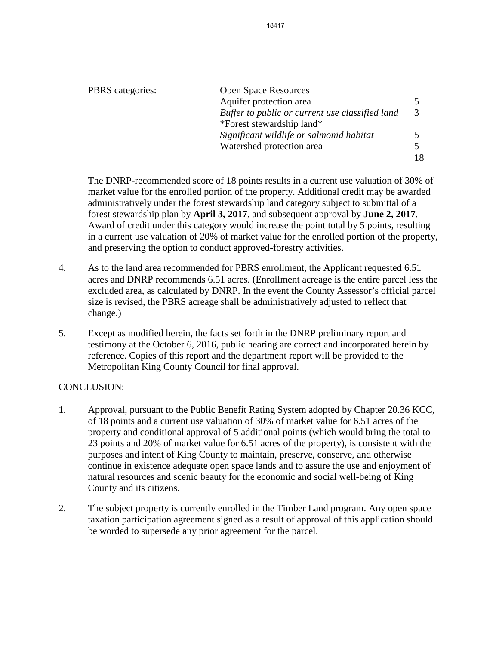| PBRS categories: | <b>Open Space Resources</b>                     |               |
|------------------|-------------------------------------------------|---------------|
|                  | Aquifer protection area                         |               |
|                  | Buffer to public or current use classified land | 3             |
|                  | *Forest stewardship land*                       |               |
|                  | Significant wildlife or salmonid habitat        | $\mathcal{D}$ |
|                  | Watershed protection area                       | 5             |
|                  |                                                 |               |

The DNRP-recommended score of 18 points results in a current use valuation of 30% of market value for the enrolled portion of the property. Additional credit may be awarded administratively under the forest stewardship land category subject to submittal of a forest stewardship plan by **April 3, 2017**, and subsequent approval by **June 2, 2017**. Award of credit under this category would increase the point total by 5 points, resulting in a current use valuation of 20% of market value for the enrolled portion of the property, and preserving the option to conduct approved-forestry activities.

- 4. As to the land area recommended for PBRS enrollment, the Applicant requested 6.51 acres and DNRP recommends 6.51 acres. (Enrollment acreage is the entire parcel less the excluded area, as calculated by DNRP. In the event the County Assessor's official parcel size is revised, the PBRS acreage shall be administratively adjusted to reflect that change.)
- 5. Except as modified herein, the facts set forth in the DNRP preliminary report and testimony at the October 6, 2016, public hearing are correct and incorporated herein by reference. Copies of this report and the department report will be provided to the Metropolitan King County Council for final approval.

## CONCLUSION:

- 1. Approval, pursuant to the Public Benefit Rating System adopted by Chapter 20.36 KCC, of 18 points and a current use valuation of 30% of market value for 6.51 acres of the property and conditional approval of 5 additional points (which would bring the total to 23 points and 20% of market value for 6.51 acres of the property), is consistent with the purposes and intent of King County to maintain, preserve, conserve, and otherwise continue in existence adequate open space lands and to assure the use and enjoyment of natural resources and scenic beauty for the economic and social well-being of King County and its citizens.
- 2. The subject property is currently enrolled in the Timber Land program. Any open space taxation participation agreement signed as a result of approval of this application should be worded to supersede any prior agreement for the parcel.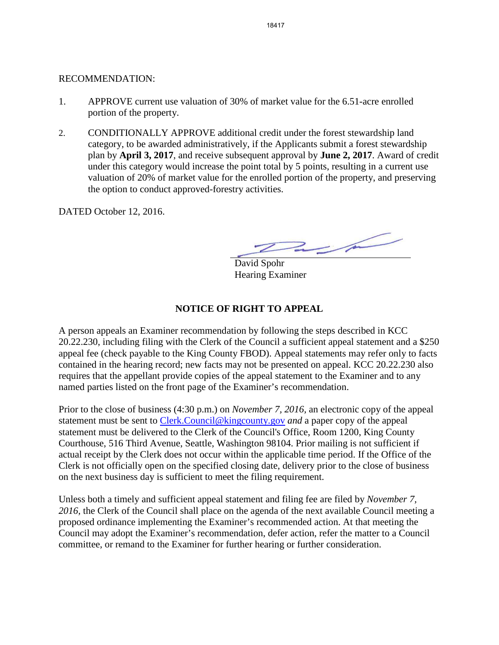## RECOMMENDATION:

- 1. APPROVE current use valuation of 30% of market value for the 6.51-acre enrolled portion of the property.
- 2. CONDITIONALLY APPROVE additional credit under the forest stewardship land category, to be awarded administratively, if the Applicants submit a forest stewardship plan by **April 3, 2017**, and receive subsequent approval by **June 2, 2017**. Award of credit under this category would increase the point total by 5 points, resulting in a current use valuation of 20% of market value for the enrolled portion of the property, and preserving the option to conduct approved-forestry activities.

DATED October 12, 2016.

 $2\mu$ 

David Spohr Hearing Examiner

# **NOTICE OF RIGHT TO APPEAL**

A person appeals an Examiner recommendation by following the steps described in KCC 20.22.230, including filing with the Clerk of the Council a sufficient appeal statement and a \$250 appeal fee (check payable to the King County FBOD). Appeal statements may refer only to facts contained in the hearing record; new facts may not be presented on appeal. KCC 20.22.230 also requires that the appellant provide copies of the appeal statement to the Examiner and to any named parties listed on the front page of the Examiner's recommendation.

Prior to the close of business (4:30 p.m.) on *November 7, 2016,* an electronic copy of the appeal statement must be sent to [Clerk.Council@kingcounty.gov](mailto:Clerk.Council@kingcounty.gov) *and* a paper copy of the appeal statement must be delivered to the Clerk of the Council's Office, Room 1200, King County Courthouse, 516 Third Avenue, Seattle, Washington 98104. Prior mailing is not sufficient if actual receipt by the Clerk does not occur within the applicable time period. If the Office of the Clerk is not officially open on the specified closing date, delivery prior to the close of business on the next business day is sufficient to meet the filing requirement.

Unless both a timely and sufficient appeal statement and filing fee are filed by *November 7, 2016,* the Clerk of the Council shall place on the agenda of the next available Council meeting a proposed ordinance implementing the Examiner's recommended action. At that meeting the Council may adopt the Examiner's recommendation, defer action, refer the matter to a Council committee, or remand to the Examiner for further hearing or further consideration.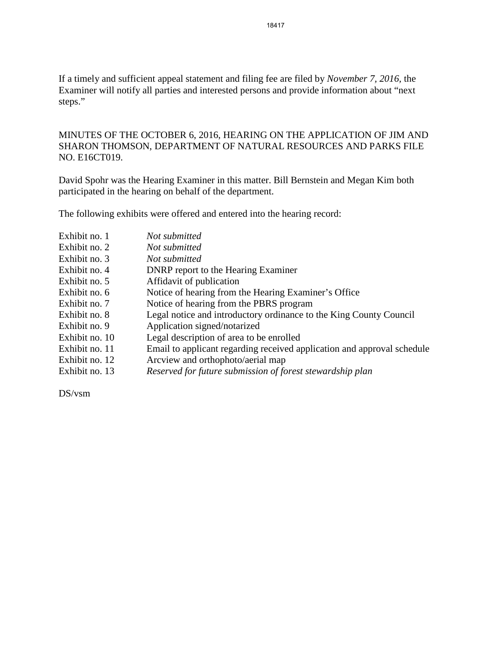If a timely and sufficient appeal statement and filing fee are filed by *November 7, 2016,* the Examiner will notify all parties and interested persons and provide information about "next steps."

MINUTES OF THE OCTOBER 6, 2016, HEARING ON THE APPLICATION OF JIM AND SHARON THOMSON, DEPARTMENT OF NATURAL RESOURCES AND PARKS FILE NO. E16CT019.

David Spohr was the Hearing Examiner in this matter. Bill Bernstein and Megan Kim both participated in the hearing on behalf of the department.

The following exhibits were offered and entered into the hearing record:

| Exhibit no. 1  | Not submitted                                                           |
|----------------|-------------------------------------------------------------------------|
| Exhibit no. 2  | Not submitted                                                           |
| Exhibit no. 3  | Not submitted                                                           |
| Exhibit no. 4  | <b>DNRP</b> report to the Hearing Examiner                              |
| Exhibit no. 5  | Affidavit of publication                                                |
| Exhibit no. 6  | Notice of hearing from the Hearing Examiner's Office                    |
| Exhibit no. 7  | Notice of hearing from the PBRS program                                 |
| Exhibit no. 8  | Legal notice and introductory ordinance to the King County Council      |
| Exhibit no. 9  | Application signed/notarized                                            |
| Exhibit no. 10 | Legal description of area to be enrolled                                |
| Exhibit no. 11 | Email to applicant regarding received application and approval schedule |
| Exhibit no. 12 | Arcview and orthophoto/aerial map                                       |
| Exhibit no. 13 | Reserved for future submission of forest stewardship plan               |

DS/vsm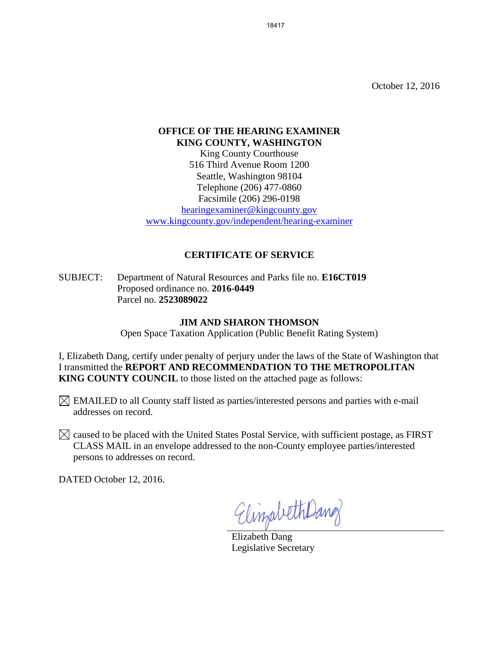October 12, 2016

# **OFFICE OF THE HEARING EXAMINER KING COUNTY, WASHINGTON**

King County Courthouse 516 Third Avenue Room 1200 Seattle, Washington 98104 Telephone (206) 477-0860 Facsimile (206) 296-0198

[hearingexaminer@kingcounty.gov](mailto:hearingexaminer@kingcounty.gov) [www.kingcounty.gov/independent/hearing-examiner](http://www.kingcounty.gov/independent/hearing-examiner)

## **CERTIFICATE OF SERVICE**

SUBJECT: Department of Natural Resources and Parks file no. **E16CT019**  Proposed ordinance no. **2016-0449**  Parcel no. **2523089022**

### **JIM AND SHARON THOMSON**

Open Space Taxation Application (Public Benefit Rating System)

I, Elizabeth Dang, certify under penalty of perjury under the laws of the State of Washington that I transmitted the **REPORT AND RECOMMENDATION TO THE METROPOLITAN KING COUNTY COUNCIL** to those listed on the attached page as follows:

 $\boxtimes$  EMAILED to all County staff listed as parties/interested persons and parties with e-mail addresses on record.

 $\boxtimes$  caused to be placed with the United States Postal Service, with sufficient postage, as FIRST CLASS MAIL in an envelope addressed to the non-County employee parties/interested persons to addresses on record.

DATED October 12, 2016.

ElingabethDang

Elizabeth Dang Legislative Secretary